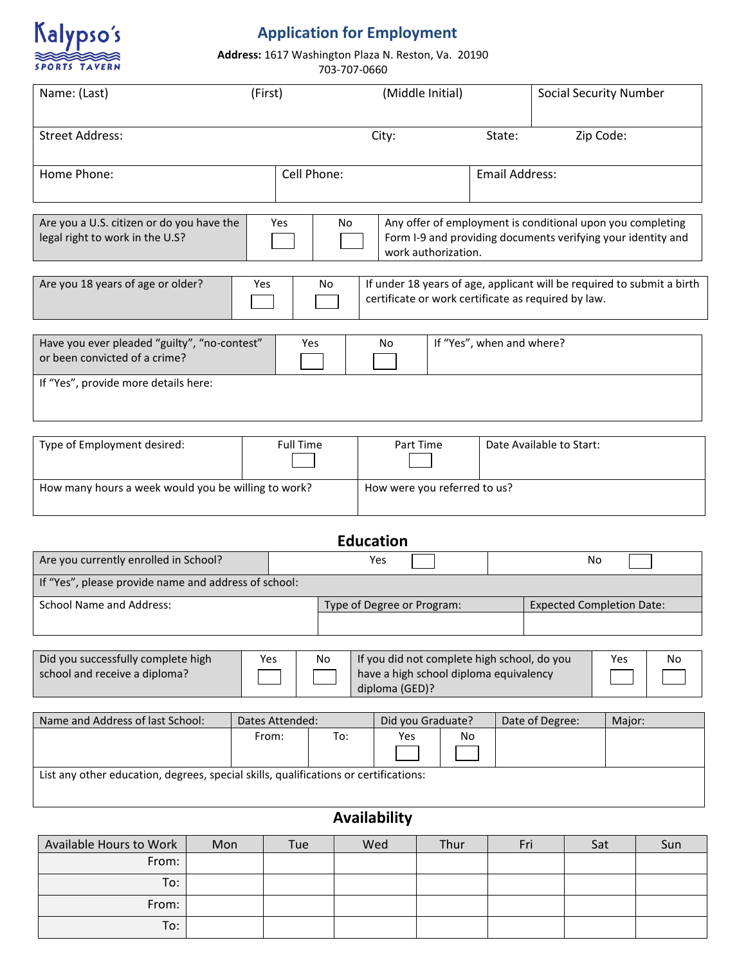

## **Application for Employment**

**Address:** 1617 Washington Plaza N. Reston, Va. 20190

703-707-0660

| Name: (Last)                                                                  | (First)     | (Middle Initial) |                                                     | <b>Social Security Number</b>                                                                                              |
|-------------------------------------------------------------------------------|-------------|------------------|-----------------------------------------------------|----------------------------------------------------------------------------------------------------------------------------|
| <b>Street Address:</b>                                                        |             | City:            | State:                                              | Zip Code:                                                                                                                  |
| Home Phone:                                                                   | Cell Phone: |                  | <b>Email Address:</b>                               |                                                                                                                            |
| Are you a U.S. citizen or do you have the<br>legal right to work in the U.S?  | Yes         | N <sub>o</sub>   | work authorization.                                 | Any offer of employment is conditional upon you completing<br>Form I-9 and providing documents verifying your identity and |
| Are you 18 years of age or older?                                             | Yes         | No               | certificate or work certificate as required by law. | If under 18 years of age, applicant will be required to submit a birth                                                     |
| Have you ever pleaded "guilty", "no-contest"<br>or been convicted of a crime? | Yes         | No               | If "Yes", when and where?                           |                                                                                                                            |
| If "Yes", provide more details here:                                          |             |                  |                                                     |                                                                                                                            |

| Type of Employment desired:                         | <b>Full Time</b> | Part Time                    | Date Available to Start: |
|-----------------------------------------------------|------------------|------------------------------|--------------------------|
| How many hours a week would you be willing to work? |                  | How were you referred to us? |                          |

| <b>Education</b>                                     |                            |                                  |  |  |  |
|------------------------------------------------------|----------------------------|----------------------------------|--|--|--|
| Are you currently enrolled in School?                | Yes                        | No                               |  |  |  |
| If "Yes", please provide name and address of school: |                            |                                  |  |  |  |
| School Name and Address:                             | Type of Degree or Program: | <b>Expected Completion Date:</b> |  |  |  |
|                                                      |                            |                                  |  |  |  |

| Did you successfully complete high | Yes | No | If you did not complete high school, do you              | Yes | <b>No</b> |
|------------------------------------|-----|----|----------------------------------------------------------|-----|-----------|
| school and receive a diploma?      |     |    | have a high school diploma equivalency<br>diploma (GED)? |     |           |

| Name and Address of last School:                                                     | Dates Attended: |     | Did you Graduate? |    | Date of Degree: | Major: |
|--------------------------------------------------------------------------------------|-----------------|-----|-------------------|----|-----------------|--------|
|                                                                                      | From:           | To: | Yes               | No |                 |        |
|                                                                                      |                 |     |                   |    |                 |        |
| List any other education, degrees, special skills, qualifications or certifications: |                 |     |                   |    |                 |        |

## **Availability**

| Available Hours to Work | Mon | Tue | Wed | Thur | Fri | Sat | Sun |
|-------------------------|-----|-----|-----|------|-----|-----|-----|
| From:                   |     |     |     |      |     |     |     |
| To:                     |     |     |     |      |     |     |     |
| From:                   |     |     |     |      |     |     |     |
| To:                     |     |     |     |      |     |     |     |